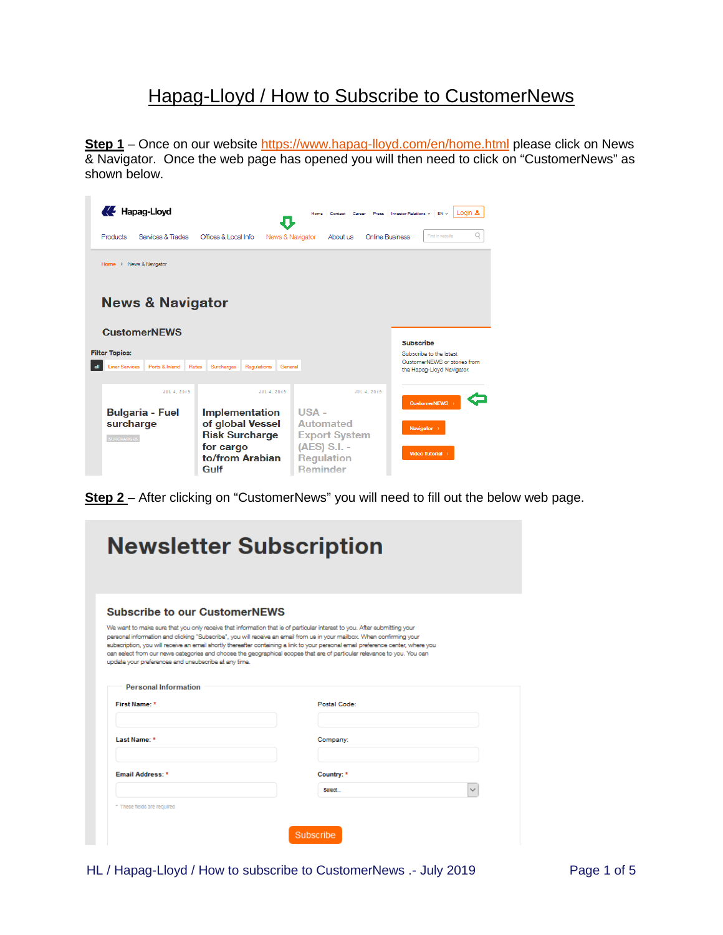## Hapag-Lloyd / How to Subscribe to CustomerNews

Step 1 – Once on our website<https://www.hapag-lloyd.com/en/home.html> please click on News & Navigator. Once the web page has opened you will then need to click on "CustomerNews" as shown below.

| Hapag-Lloyd                             | J                                             | Home Contact Career Press Investor Relations v | Login &<br>EN v                                            |
|-----------------------------------------|-----------------------------------------------|------------------------------------------------|------------------------------------------------------------|
| Services & Trades<br>Products           | Offices & Local Info.<br>News & Navigator     | Online Business<br>About us                    | Q<br>Find in website                                       |
| News & Navigator<br>Home $\rightarrow$  |                                               |                                                |                                                            |
| <b>News &amp; Navigator</b>             |                                               |                                                |                                                            |
| <b>CustomerNEWS</b>                     |                                               |                                                | Subscribe                                                  |
| <b>Filter Topics:</b>                   |                                               |                                                | Subscribe to the latest                                    |
| <b>Liner Services</b><br>Ports & Inland | Rates<br>Surcharges<br>Regulations<br>General |                                                | CustomerNEWS or stories from<br>the Hapag-Lloyd Navigator. |
| JUL 4, 2019                             | JUL 4, 2019                                   | <b>JUL 4, 2019</b>                             | <b>CustomerNEWS</b>                                        |
| <b>Bulgaria - Fuel</b>                  | <b>Implementation</b>                         | $USA -$                                        |                                                            |
| surcharge                               | of global Vessel                              | <b>Automated</b>                               | Navigator >                                                |
| <b>SURCHARGES</b>                       | <b>Risk Surcharge</b><br>for cargo            | <b>Export System</b><br>(AES) S.I. -           |                                                            |
|                                         | to/from Arabian                               | <b>Regulation</b>                              | Video Tutorial >                                           |
|                                         | Gulf                                          | <b>Reminder</b>                                |                                                            |

**Step 2** – After clicking on "CustomerNews" you will need to fill out the below web page.

|                                                      | <b>Newsletter Subscription</b>                                                                                                                                                                                                                                                                                                                                                                                                                                                                                    |
|------------------------------------------------------|-------------------------------------------------------------------------------------------------------------------------------------------------------------------------------------------------------------------------------------------------------------------------------------------------------------------------------------------------------------------------------------------------------------------------------------------------------------------------------------------------------------------|
|                                                      |                                                                                                                                                                                                                                                                                                                                                                                                                                                                                                                   |
| <b>Subscribe to our CustomerNEWS</b>                 |                                                                                                                                                                                                                                                                                                                                                                                                                                                                                                                   |
| update your preferences and unsubscribe at any time. | We want to make sure that you only receive that information that is of particular interest to you. After submitting your<br>personal information and clicking "Subscribe", you will receive an email from us in your mailbox. When confirming your<br>subscription, you will receive an email shortly thereafter containing a link to your personal email preference center, where you<br>can select from our news categories and choose the geographical scopes that are of particular relevance to you. You can |
|                                                      |                                                                                                                                                                                                                                                                                                                                                                                                                                                                                                                   |
| <b>Personal Information</b><br>First Name: *         | Postal Code:                                                                                                                                                                                                                                                                                                                                                                                                                                                                                                      |
|                                                      |                                                                                                                                                                                                                                                                                                                                                                                                                                                                                                                   |
| Last Name: *                                         | Company:                                                                                                                                                                                                                                                                                                                                                                                                                                                                                                          |
|                                                      | Country: *                                                                                                                                                                                                                                                                                                                                                                                                                                                                                                        |
| <b>Email Address: *</b>                              | Select.                                                                                                                                                                                                                                                                                                                                                                                                                                                                                                           |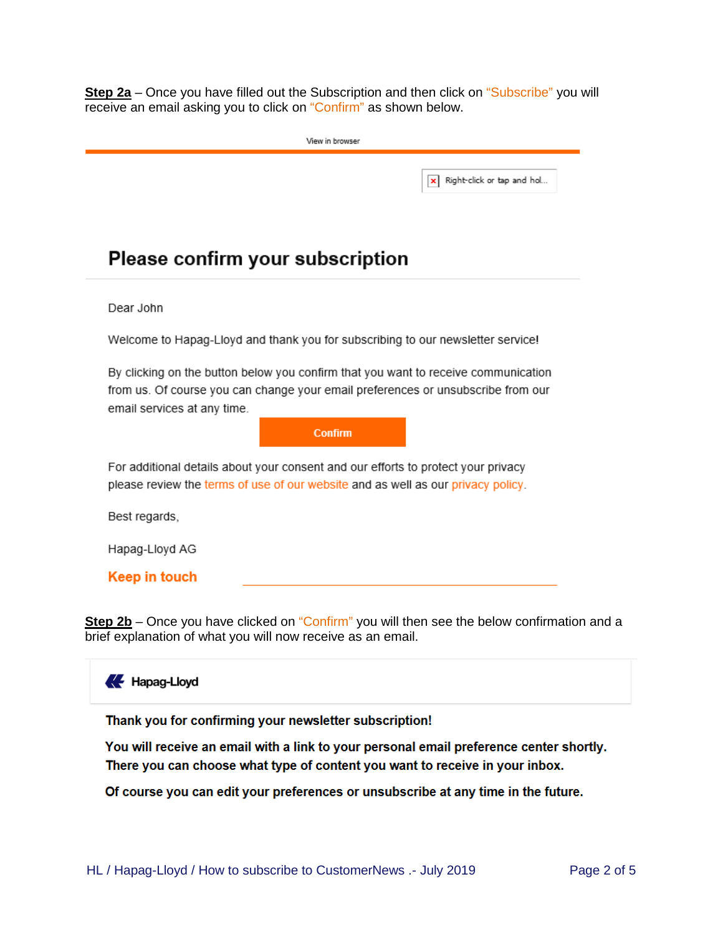**Step 2a** – Once you have filled out the Subscription and then click on "Subscribe" you will receive an email asking you to click on "Confirm" as shown below.

|                                                                                                                                                                                                       | Right-click or tap and hol<br>× |  |  |  |
|-------------------------------------------------------------------------------------------------------------------------------------------------------------------------------------------------------|---------------------------------|--|--|--|
| <b>Please confirm your subscription</b>                                                                                                                                                               |                                 |  |  |  |
| Dear John                                                                                                                                                                                             |                                 |  |  |  |
| Welcome to Hapag-Lloyd and thank you for subscribing to our newsletter service!                                                                                                                       |                                 |  |  |  |
| By clicking on the button below you confirm that you want to receive communication<br>from us. Of course you can change your email preferences or unsubscribe from our<br>email services at any time. |                                 |  |  |  |
| <b>Confirm</b>                                                                                                                                                                                        |                                 |  |  |  |
| For additional details about your consent and our efforts to protect your privacy<br>please review the terms of use of our website and as well as our privacy policy.                                 |                                 |  |  |  |
| Best regards,                                                                                                                                                                                         |                                 |  |  |  |
| Hapag-Lloyd AG                                                                                                                                                                                        |                                 |  |  |  |
| Keep in touch                                                                                                                                                                                         |                                 |  |  |  |

**Step 2b** – Once you have clicked on "Confirm" you will then see the below confirmation and a brief explanation of what you will now receive as an email.

## Hapag-Lloyd

Thank you for confirming your newsletter subscription!

You will receive an email with a link to your personal email preference center shortly. There you can choose what type of content you want to receive in your inbox.

Of course you can edit your preferences or unsubscribe at any time in the future.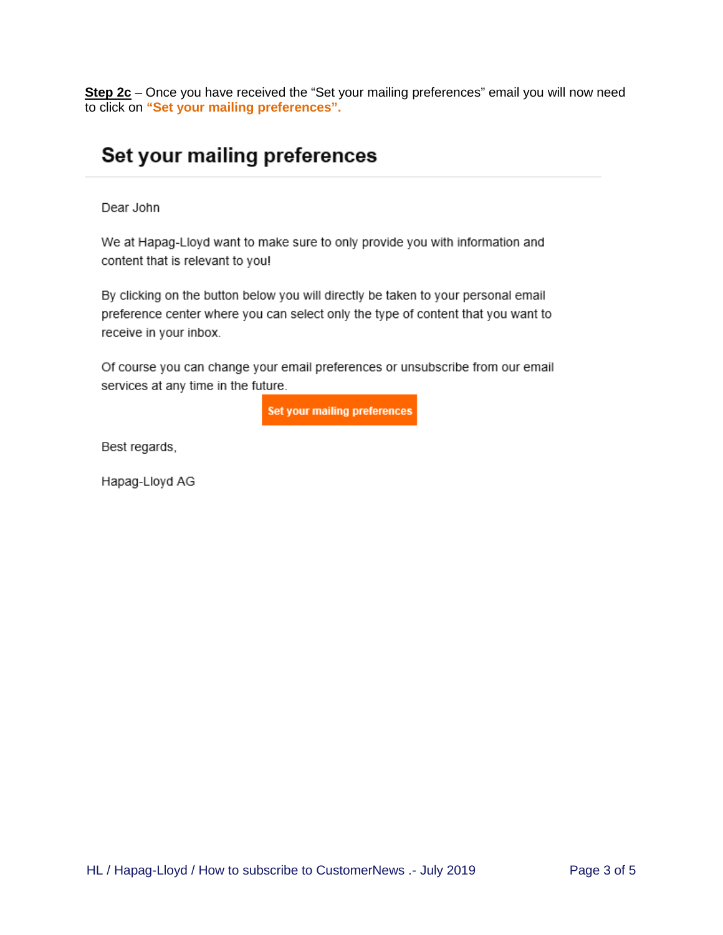**Step 2c** – Once you have received the "Set your mailing preferences" email you will now need to click on **"Set your mailing preferences".**

## Set your mailing preferences

Dear John

We at Hapag-Lloyd want to make sure to only provide you with information and content that is relevant to you!

By clicking on the button below you will directly be taken to your personal email preference center where you can select only the type of content that you want to receive in your inbox.

Of course you can change your email preferences or unsubscribe from our email services at any time in the future.

**Set your mailing preferences** 

Best regards,

Hapag-Lloyd AG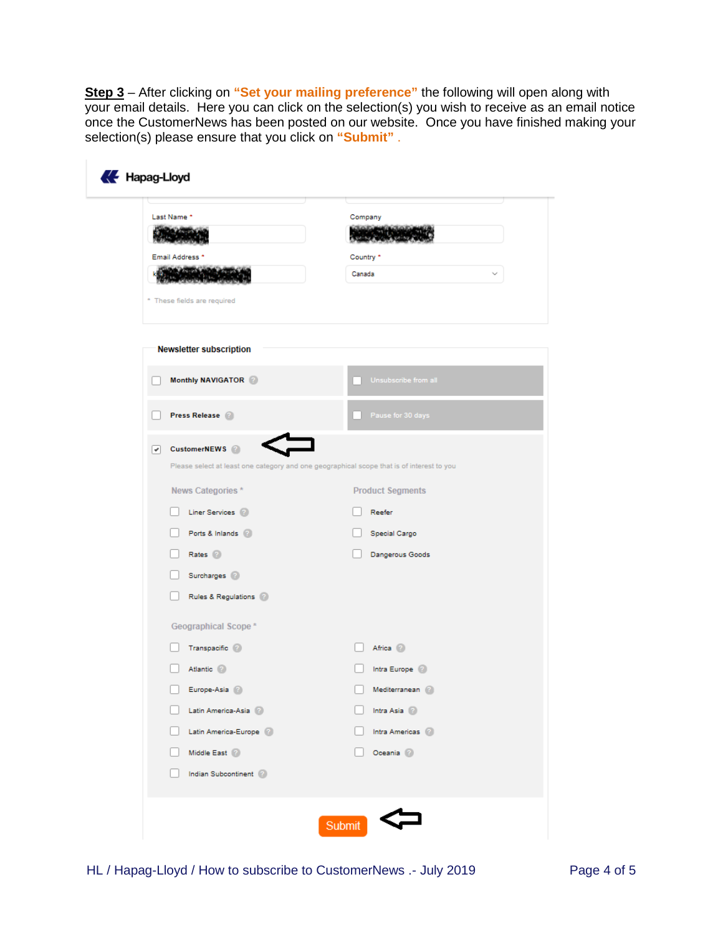**Step 3** – After clicking on **"Set your mailing preference"** the following will open along with your email details. Here you can click on the selection(s) you wish to receive as an email notice once the CustomerNews has been posted on our website. Once you have finished making your selection(s) please ensure that you click on **"Submit"** .

| Last Name *                    | Company                                                                                   |
|--------------------------------|-------------------------------------------------------------------------------------------|
| Email Address *                | Country *                                                                                 |
| Znie ind                       | Canada                                                                                    |
|                                |                                                                                           |
| * These fields are required    |                                                                                           |
|                                |                                                                                           |
| <b>Newsletter subscription</b> |                                                                                           |
| Monthly NAVIGATOR              | Unsubscribe from all                                                                      |
| Press Release                  |                                                                                           |
|                                | Pause for 30 days                                                                         |
| CustomerNEWS <sup>2</sup><br>☞ |                                                                                           |
|                                | Please select at least one category and one geographical scope that is of interest to you |
| News Categories*               | <b>Product Segments</b>                                                                   |
| Liner Services (2)             | Reefer                                                                                    |
| Ports & Inlands                | Special Cargo                                                                             |
| Rates <sup>2</sup>             | Dangerous Goods                                                                           |
| Surcharges 2                   |                                                                                           |
| Rules & Regulations 2          |                                                                                           |
| Geographical Scope*            |                                                                                           |
| Transpacific (2)               | Africa (2)                                                                                |
| Atlantic 2                     | Intra Europe (2)                                                                          |
| Europe-Asia 2                  | Mediterranean                                                                             |
| Latin America-Asia             | Intra Asia (2)                                                                            |
| Latin America-Europe 2         | Intra Americas                                                                            |
| Middle East                    | Oceania 2                                                                                 |
| Indian Subcontinent            |                                                                                           |